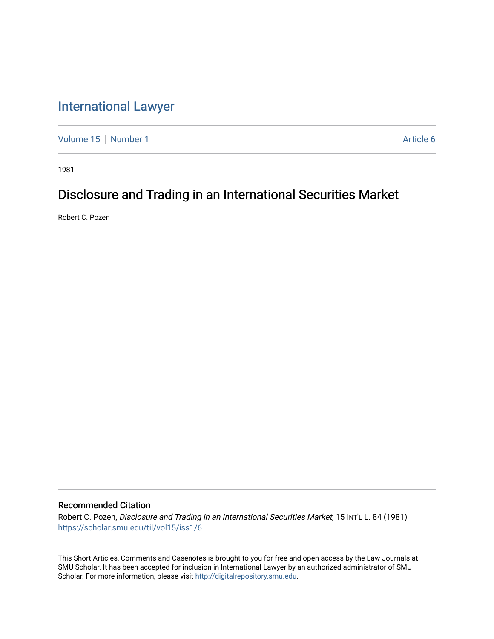## [International Lawyer](https://scholar.smu.edu/til)

[Volume 15](https://scholar.smu.edu/til/vol15) | [Number 1](https://scholar.smu.edu/til/vol15/iss1) Article 6

1981

# Disclosure and Trading in an International Securities Market

Robert C. Pozen

### Recommended Citation

Robert C. Pozen, Disclosure and Trading in an International Securities Market, 15 INTL L. 84 (1981) [https://scholar.smu.edu/til/vol15/iss1/6](https://scholar.smu.edu/til/vol15/iss1/6?utm_source=scholar.smu.edu%2Ftil%2Fvol15%2Fiss1%2F6&utm_medium=PDF&utm_campaign=PDFCoverPages)

This Short Articles, Comments and Casenotes is brought to you for free and open access by the Law Journals at SMU Scholar. It has been accepted for inclusion in International Lawyer by an authorized administrator of SMU Scholar. For more information, please visit [http://digitalrepository.smu.edu.](http://digitalrepository.smu.edu/)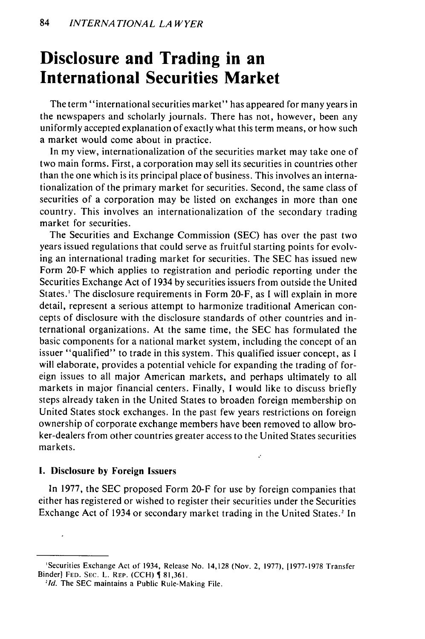# **Disclosure and Trading in an International Securities Market**

The term "international securities market" has appeared for many years in the newspapers and scholarly journals. There has not, however, been any uniformly accepted explanation of exactly what this term means, or how such a market would come about in practice.

In my view, internationalization of the securities market may take one of two main forms. First, a corporation may sell its securities in countries other than the one which is its principal place of business. This involves an internationalization of the primary market for securities. Second, the same class of securities of a corporation may be listed on exchanges in more than one country. This involves an internationalization of the secondary trading market for securities.

The Securities and Exchange Commission (SEC) has over the past two years issued regulations that could serve as fruitful starting points for evolving an international trading market for securities. The SEC has issued new Form 20-F which applies to registration and periodic reporting under the Securities Exchange Act of 1934 by securities issuers from outside the United States.' The disclosure requirements in Form 20-F, as I will explain in more detail, represent a serious attempt to harmonize traditional American concepts of disclosure with the disclosure standards of other countries and international organizations. At the same time, the SEC has formulated the basic components for a national market system, including the concept of an issuer "qualified" to trade in this system. This qualified issuer concept, as I will elaborate, provides a potential vehicle for expanding the trading of foreign issues to all major American markets, and perhaps ultimately to all markets in major financial centers. Finally, I would like to discuss briefly steps already taken in the United States to broaden foreign membership on United States stock exchanges. In the past few years restrictions on foreign ownership of corporate exchange members have been removed to allow broker-dealers from other countries greater access to the United States securities markets.

### **1.** Disclosure **by** Foreign Issuers

In 1977, the SEC proposed Form 20-F for use by foreign companies that either has registered or wished to register their securities under the Securities Exchange Act of 1934 or secondary market trading in the United States.' In

k,

<sup>&#</sup>x27;Securities Exchange Act of 1934, Release No. 14,128 (Nov. 2, 1977), [1977-1978 Transfer Binder] **FED. SEC.** L. REP. **(CCH)** 81,361.

*<sup>&#</sup>x27;Id.* The SEC maintains a Public Rule-Making File.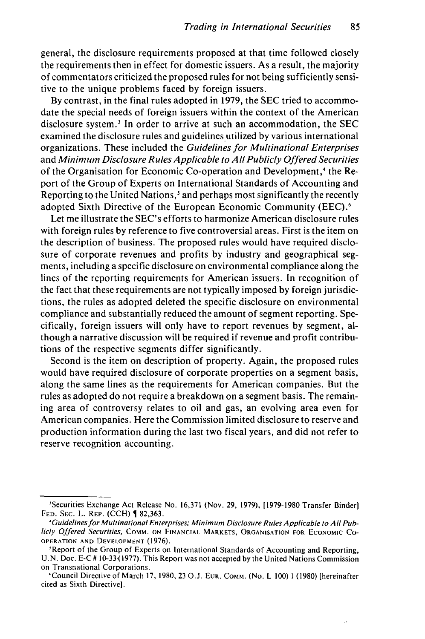general, the disclosure requirements proposed at that time followed closely the requirements then in effect for domestic issuers. As a result, the majority of commentators criticized the proposed rules for not being sufficiently sensitive to the unique problems faced by foreign issuers.

By contrast, in the final rules adopted in 1979, the SEC tried to accommodate the special needs of foreign issuers within the context of the American disclosure system.<sup>3</sup> In order to arrive at such an accommodation, the  $SEC$ examined the disclosure rules and guidelines utilized by various international organizations. These included the Guidelines *for Multinational Enterprises* and *Minimum* Disclosure Rules *Applicable to All Publicly Offered Securities* of the Organisation for Economic Co-operation and Development,' the Report of the Group of Experts on International Standards of Accounting and Reporting to the United Nations,' and perhaps most significantly the recently adopted Sixth Directive of the European Economic Community (EEC).<sup>6</sup>

Let me illustrate the SEC's efforts to harmonize American disclosure rules with foreign rules by reference to five controversial areas. First is the item on the description of business. The proposed rules would have required disclosure of corporate revenues and profits by industry and geographical segments, including a specific disclosure on environmental compliance along the lines of the reporting requirements for American issuers. In recognition of the fact that these requirements are not typically imposed by foreign jurisdictions, the rules as adopted deleted the specific disclosure on environmental compliance and substantially reduced the amount of segment reporting. Specifically, foreign issuers will only have to report revenues by segment, although a narrative discussion will be required if revenue and profit contributions of the respective segments differ significantly.

Second is the item on description of property. Again, the proposed rules would have required disclosure of corporate properties on a segment basis, along the same lines as the requirements for American companies. But the rules as adopted do not require a breakdown on a segment basis. The remaining area of controversy relates to oil and gas, an evolving area even for American companies. Here the Commission limited disclosure to reserve and production information during the last two fiscal years, and did not refer to reserve recognition accounting.

<sup>&#</sup>x27;Securities Exchange Act Release No. 16,371 (Nov. 29, 1979), [1979-1980 Transfer Binder] **FED. SEC.** L. **REP.** (CCH) 82,363.

*<sup>&#</sup>x27;Guidelines* for Multinational Enterprises; Minimum Disclosure Rules Applicable to All Publicly Offered Securities, COMM. **ON FINANCIAL** MARKETS, **ORGANISATION FOR ECONOMIC CO-**OPERATION **AND DEVELOPMENT** (1976).

<sup>&#</sup>x27;Report of the Group of Experts on International Standards of Accounting and Reporting, U.N. Doc. **E-C** # 10-33(1977). This Report was not accepted by the United Nations Commission on Transnational Corporations.

<sup>&#</sup>x27;Council Directive of March 17, 1980, 23 O.J. **EUR.** COMM. (No. L 100) 1 (1980) [hereinafter cited as Sixth Directivel.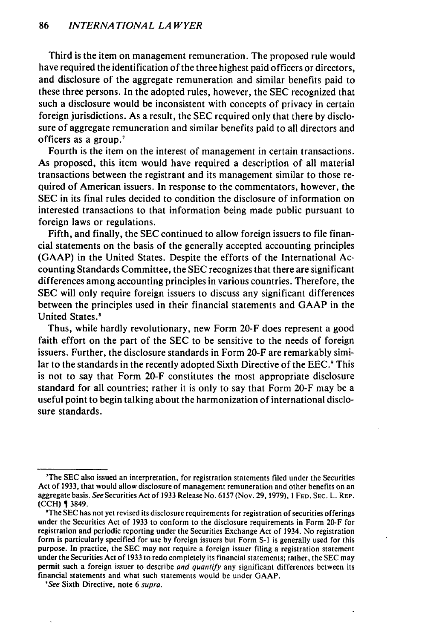Third is the item on management remuneration. The proposed rule would have required the identification of the three highest paid officers or directors, and disclosure of the aggregate remuneration and similar benefits paid to these three persons. In the adopted rules, however, the SEC recognized that such a disclosure would be inconsistent with concepts of privacy in certain foreign jurisdictions. As a result, the SEC required only that there by disclosure of aggregate remuneration and similar benefits paid to all directors and officers as a group.

Fourth is the item on the interest of management in certain transactions. As proposed, this item would have required a description of all material transactions between the registrant and its management similar to those required of American issuers. In response to the commentators, however, the SEC in its final rules decided to condition the disclosure of information on interested transactions to that information being made public pursuant to foreign laws or regulations.

Fifth, and finally, the SEC continued to allow foreign issuers to file financial statements on the basis of the generally accepted accounting principles (GAAP) in the United States. Despite the efforts of the International Accounting Standards Committee, the SEC recognizes that there are significant differences among accounting principles in various countries. Therefore, the SEC will only require foreign issuers to discuss any significant differences between the principles used in their financial statements and GAAP in the United States.'

Thus, while hardly revolutionary, new Form 20-F does represent a good faith effort on the part of the SEC to be sensitive to the needs of foreign issuers. Further, the disclosure standards in Form 20-F are remarkably similar to the standards in the recently adopted Sixth Directive of the EEC.<sup>9</sup> This is not to say that Form 20-F constitutes the most appropriate disclosure standard for all countries; rather it is only to say that Form 20-F may be a useful point to begin talking about the harmonization of international disclosure standards.

<sup>&#</sup>x27;The SEC also issued an interpretation, for registration statements filed under the Securities Act of 1933, that would allow disclosure of management remuneration and other benefits on an aggregate basis. See Securities Act of 1933 Release No. 6157 (Nov. 29, 1979), 1 **FED. SEC.** L. REP. (CCH) 3849.

<sup>&#</sup>x27;The SEC has not yet revised its disclosure requirements for registration of securities offerings under the Securities Act of 1933 to conform to the disclosure requirements in Form 20-F for registration and periodic reporting under the Securities Exchange Act of 1934. No registration form is particularly specified for use by foreign issuers but Form **S-1** is generally used for this purpose. In practice, the SEC may not require a foreign issuer filing a registration statement under the Securities Act of 1933 to redo completely its financial statements; rather, the SEC may permit such a foreign issuer to describe *and quantify* any significant differences between its financial statements and what such statements would be under GAAP.

<sup>&#</sup>x27;See Sixth Directive, note 6 supra.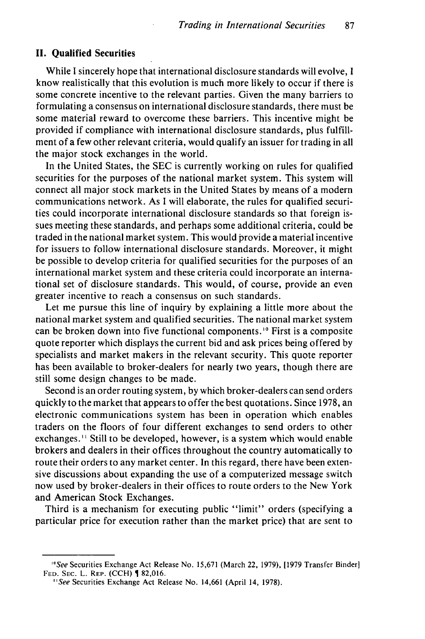#### **II. Qualified Securities**

While I sincerely hope that international disclosure standards will evolve, I know realistically that this evolution is much more likely to occur if there is some concrete incentive to the relevant parties. Given the many barriers to formulating a consensus on international disclosure standards, there must be some material reward to overcome these barriers. This incentive might be provided if compliance with international disclosure standards, plus fulfillment of a few other relevant criteria, would qualify an issuer for trading in all the major stock exchanges in the world.

In the United States, the SEC is currently working on rules for qualified securities for the purposes of the national market system. This system will connect all major stock markets in the United States by means of a modern communications network. As I will elaborate, the rules for qualified securities could incorporate international disclosure standards so that foreign issues meeting these standards, and perhaps some additional criteria, could be traded in the national market system. This would provide a material incentive for issuers to follow international disclosure standards. Moreover, it might be possible to develop criteria for qualified securities for the purposes of an international market system and these criteria could incorporate an international set of disclosure standards. This would, of course, provide an even greater incentive to reach a consensus on such standards.

Let me pursue this line of inquiry by explaining a little more about the national market system and qualified securities. The national market system can be broken down into five functional components.'° First is a composite quote reporter which displays the current bid and ask prices being offered by specialists and market makers in the relevant security. This quote reporter has been available to broker-dealers for nearly two years, though there are still some design changes to be made.

Second is an order routing system, by which broker-dealers can send orders quickly to the market that appears to offer the best quotations. Since 1978, an electronic communications system has been in operation which enables traders on the floors of four different exchanges to send orders to other exchanges. ' " Still to be developed, however, is a system which would enable brokers and dealers in their offices throughout the country automatically to route their orders to any market center. In this regard, there have been extensive discussions about expanding the use of a computerized message switch now used by broker-dealers in their offices to route orders to the New York and American Stock Exchanges.

Third is a mechanism for executing public "limit" orders (specifying a particular price for execution rather than the market price) that are sent to

*<sup>&#</sup>x27;"See* Securities Exchange Act Release No. 15,671 (March 22, 1979), [1979 Transfer Binder] FED. SEC. L. REP. (CCH) **982,016.** 

*<sup>&#</sup>x27;'See* Securities Exchange Act Release No. 14,661 (April 14, 1978).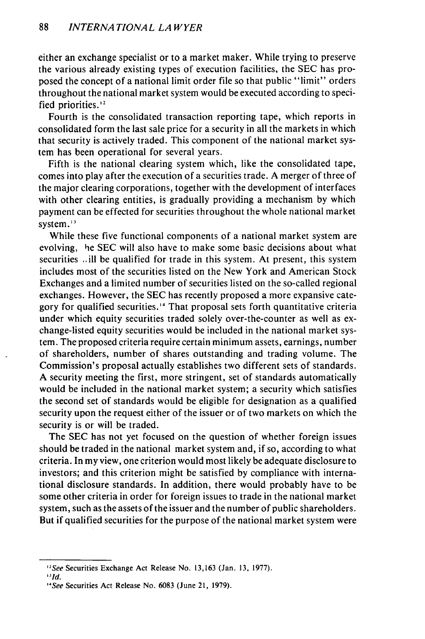either an exchange specialist or to a market maker. While trying to preserve the various already existing types of execution facilities, the SEC has proposed the concept of a national limit order file so that public "limit" orders throughout the national market system would be executed according to specified priorities.<sup>12</sup>

Fourth is the consolidated transaction reporting tape, which reports in consolidated form the last sale price for a security in all the markets in which that security is actively traded. This component of the national market system has been operational for several years.

Fifth is the national clearing system which, like the consolidated tape, comes into play after the execution of a securities trade. A merger of three of the major clearing corporations, together with the development of interfaces with other clearing entities, is gradually providing a mechanism by which payment can be effected for securities throughout the whole national market system. **'3**

While these five functional components of a national market system are evolving, he SEC will also have to make some basic decisions about what securities ..ill be qualified for trade in this system. At present, this system includes most of the securities listed on the New York and American Stock Exchanges and a limited number of securities listed on the so-called regional exchanges. However, the SEC has recently proposed a more expansive category for qualified securities." That proposal sets forth quantitative criteria under which equity securities traded solely over-the-counter as well as exchange-listed equity securities would be included in the national market system. The proposed criteria require certain minimum assets, earnings, number of shareholders, number of shares outstanding and trading volume. The Commission's proposal actually establishes two different sets of standards. A security meeting the first, more stringent, set of standards automatically would be included in the national market system; a security which satisfies the second set of standards would be eligible for designation as a qualified security upon the request either of the issuer or of two markets on which the security is or will be traded.

The SEC has not yet focused on the question of whether foreign issues should be traded in the national market system and, if so, according to what criteria. In my view, one criterion would most likely be adequate disclosure to investors; and this criterion might be satisfied by compliance with international disclosure standards. In addition, there would probably have to be some other criteria in order for foreign issues to trade in the national market system, such as the assets of the issuer and the number of public shareholders. But if qualified securities for the purpose of the national market system were

*<sup>&</sup>quot;See* Securities Exchange Act Release No. 13,163 (Jan. 13, 1977).

 $\overline{d}$ 

*<sup>&</sup>quot;See* Securities Act Release No. 6083 (June 21, 1979).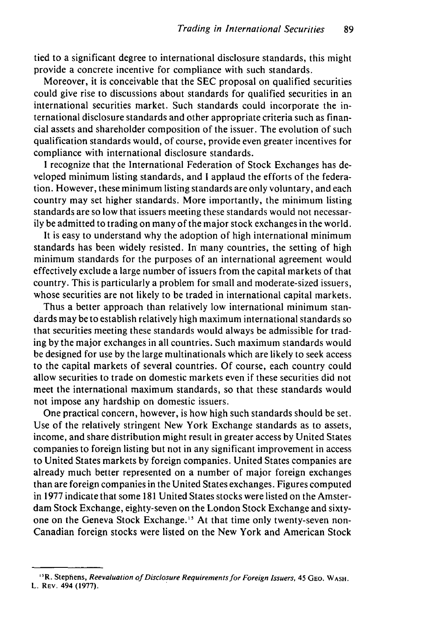tied to a significant degree to international disclosure standards, this might provide a concrete incentive for compliance with such standards.

Moreover, it is conceivable that the SEC proposal on qualified securities could give rise to discussions about standards for qualified securities in an international securities market. Such standards could incorporate the international disclosure standards and other appropriate criteria such as financial assets and shareholder composition of the issuer. The evolution of such qualification standards would, of course, provide even greater incentives for compliance with international disclosure standards.

I recognize that the International Federation of Stock Exchanges has developed minimum listing standards, and I applaud the efforts of the federation. However, these minimum listing standards are only voluntary, and each country may set higher standards. More importantly, the minimum listing standards are so low that issuers meeting these standards would not necessarily be admitted to trading on many of the major stock exchanges in the world.

It is easy to understand why the adoption of high international minimum standards has been widely resisted. In many countries, the setting of high minimum standards for the purposes of an international agreement would effectively exclude a large number of issuers from the capital markets of that country. This is particularly a problem for small and moderate-sized issuers, whose securities are not likely to be traded in international capital markets.

Thus a better approach than relatively low international minimum standards may be to establish relatively high maximum international standards so that securities meeting these standards would always be admissible for trading by the major exchanges in all countries. Such maximum standards would be designed for use by the large multinationals which are likely to seek access to the capital markets of several countries. Of course, each country could allow securities to trade on domestic markets even if these securities did not meet the international maximum standards, so that these standards would not impose any hardship on domestic issuers.

One practical concern, however, is how high such standards should be set. Use of the relatively stringent New York Exchange standards as to assets, income, and share distribution might result in greater access by United States companies to foreign listing but not in any significant improvement in access to United States markets by foreign companies. United States companies are already much better represented on a number of major foreign exchanges than are foreign companies in the United States exchanges. Figures computed in 1977 indicate that some 181 United States stocks were listed on the Amsterdam Stock Exchange, eighty-seven on the London Stock Exchange and sixtyone on the Geneva Stock Exchange." At that time only twenty-seven non-Canadian foreign stocks were listed on the New York and American Stock

**<sup>&#</sup>x27;R.** Stephens, Reevaluation *of* Disclosure *Requirements for Foreign Issuers,* 45 **GEO.** WASH. L. REV. 494 **(1977).**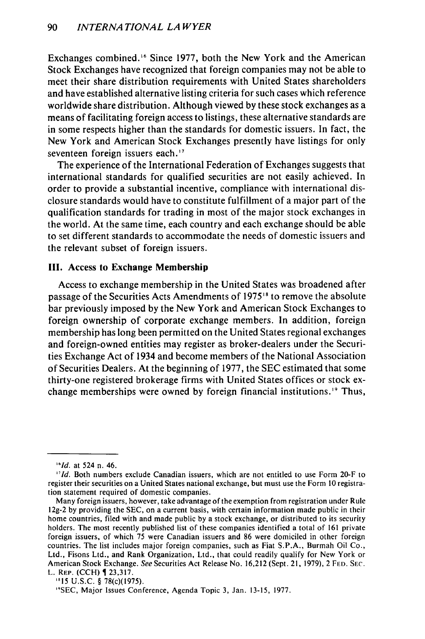Exchanges combined.<sup>16</sup> Since 1977, both the New York and the American Stock Exchanges have recognized that foreign companies may not be able to meet their share distribution requirements with United States shareholders and have established alternative listing criteria for such cases which reference worldwide share distribution. Although viewed by these stock exchanges as a means of facilitating foreign access to listings, these alternative standards are in some respects higher than the standards for domestic issuers. In fact, the New York and American Stock Exchanges presently have listings for only seventeen foreign issuers each.<sup>17</sup>

The experience of the International Federation of Exchanges suggests that international standards for qualified securities are not easily achieved. In order to provide a substantial incentive, compliance with international disclosure standards would have to constitute fulfillment of a major part of the qualification standards for trading in most of the major stock exchanges in the world. At the same time, each country and each exchange should be able to set different standards to accommodate the needs of domestic issuers and the relevant subset of foreign issuers.

### **III.** Access to **Exchange Membership**

Access to exchange membership in the United States was broadened after passage of the Securities Acts Amendments of 1975'" to remove the absolute bar previously imposed by the New York and American Stock Exchanges to foreign ownership of corporate exchange members. In addition, foreign membership has long been permitted on the United States regional exchanges and foreign-owned entities may register as broker-dealers under the Securities Exchange Act of 1934 and become members of the National Association of Securities Dealers. At the beginning of 1977, the SEC estimated that some thirty-one registered brokerage firms with United States offices or stock exchange memberships were owned by foreign financial institutions.<sup>19</sup> Thus,

*<sup>&#</sup>x27;"Id.* at 524 n. 46.

*<sup>&</sup>quot;Id.* Both numbers exclude Canadian issuers, which are not entitled to use Form 20-F to register their securities on a United States national exchange, but must use the Form **10** registration statement required of domestic companies.

Many foreign issuers, however, take advantage of the exemption from registration under Rule 12g-2 by providing the SEC, on a current basis, with certain information made public in their home countries, filed with and made public by a stock exchange, or distributed to its security holders. The most recently published list of these companies identified a total of 161 private foreign issuers, of which 75 were Canadian issuers and 86 were domiciled in other foreign countries. The list includes major foreign companies, such as Fiat S.P.A., Burmah Oil Co., Ltd., Fisons Ltd., and Rank Organization, Ltd., that could readily qualify for New York or American Stock Exchange. See Securities Act Release No. 16,212 (Sept. 21, 1979), 2 FED. **SEC.** L. REP. (CCH) 23,317.

**<sup>&</sup>quot;15** U.S.C. § 78(c)(1975).

<sup>&</sup>quot;SEC, Major Issues Conference, Agenda Topic 3, Jan. 13-15, 1977.